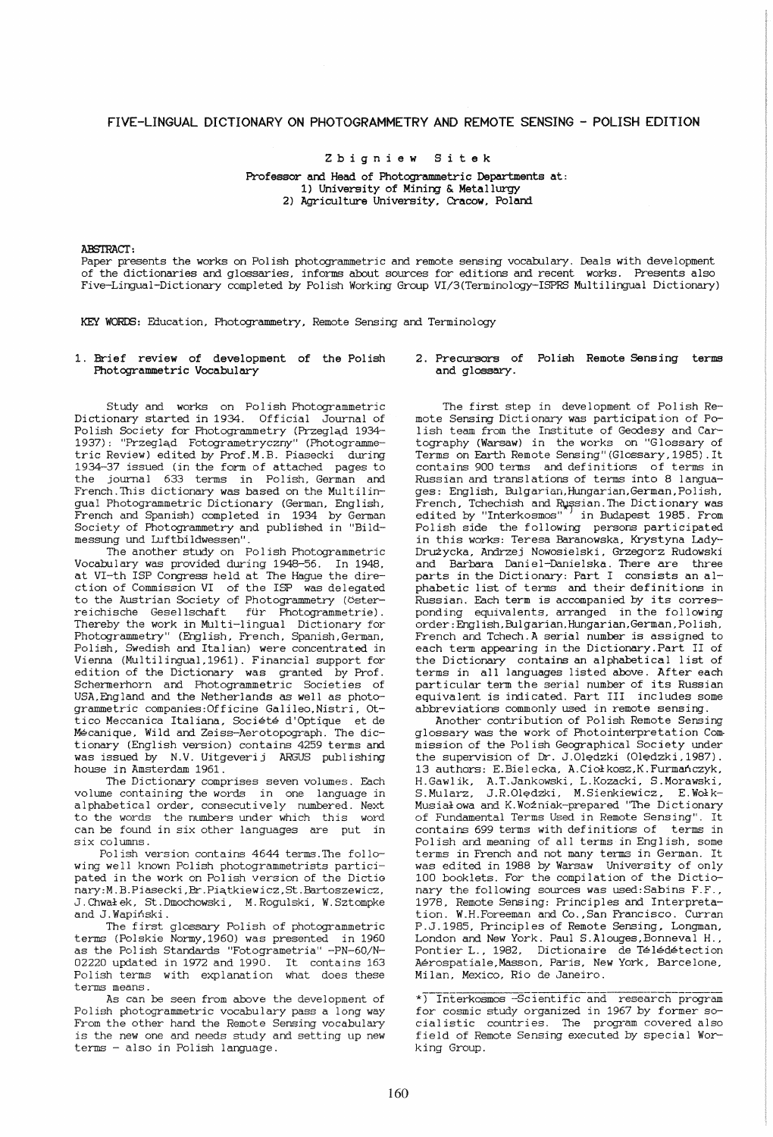# FIVE-LINGUAL DICTIONARY ON PHOTOGRAMMETRY AND REMOTE SENSING - POLISH EDITION

Z bigniew Sitek

Professor and Head of Photogrammetric Departments at: 1) University of Mining & Metallurgy 2) Agriculture University. Cracow. Poland

#### ABSTRACT:

Paper presents the works on Polish photogrammetric and remote sensing vocabulary. Deals with development of the dictionaries and glossaries, informs about sources for editions and recent works. Presents also Five-Lingual-Dictionary completed by Polish Working Group VI/3(Terminology-ISPRS Multilingual Dictionary)

KEY WORDS: Education, Photogrammetry, Remote Sensing and Terminology

## 1. Brief review of development of the Polish Photogrammetric Vocabulary

Study and works on Polish Photogrammetric Dictionary started in 1934. Official Journal of Polish Society for Photogrammetry (Przegląd 1934-1937): "Przegląd Fotogrametryczny" (Photogrammetric Review) edited by Prof.M.B. Piasecki during 1934-37 issued (in the form of attached pages to the journal 633 terms in Polish, German and French. This dictionary was based on the Multilingual Photogrammetric Dictionary (German, English, French and Spanish) completed in 1934 by German Society of Photogrammetry and publ ished in "Bildmessung und Luftbildwessen".

The another study on Polish Photogrammetric Vocabulary was provided during 1948-56. In 1948, at VI-th ISP Congress held at The Hague the direction of Commission VI of the ISP was delegated to the Austrian Society of Photogrammetry (Osterreichische Gesellschaft fur Photogrammetrie). Thereby the work in Multi-lingual Dictionary for Photogrammetry" (English, French, Spanish,German, Polish, Swedish and Italian) were concentrated in Vienna (Multilingual,1961). Financial support for edition of the Dictionary was granted by Prof. Schermerhorn and Photogrammetric Societies of USA, Eng land and the Netherlands as well as photogrammetric companies:Officine Galileo,Nistri, Ottico Meccanica Italiana, Societe d'Optique et de Mecanique, Wild and Zeiss-Aerotopograph. The dictionary (English version) contains 4259 terms and was issued by N.V. Uitgeverij ARGUS publishing house in Amsterdam 1961.

The Dictionary comprises seven volumes. Each volume containing the words in one language in alphabetical order, consecutively numbered. Next to the words the numbers under which this word can be found in six other languages are put in six columns.

Polish version contains 4644 terms.The following well known Polish photogrammetrists participated in the work on Polish version of the Dictio nary:M.B.Piasecki,Br.Piątkiewicz,St.Bartoszewicz, J. Chwałek, St. Dmochowski, M. Rogulski, W. Sztompke and J. Wapinski .

The first glossary Polish of photogrammetric terms (Polskie NormY,1960) was presented in 1960 as the Polish Standards "Fotogrametria" -PN-60/N-02220 updated in 1972 and 1990. It contains 163 Polish terms with explanation what does these terms means.

As can be seen from above the development of Polish photogrammetric vocabulary pass a long way From the other hand the Remote Sensing vocabulary is the new one and needs study and setting up new terms - also in Polish language.

2. Precursors of Poliah Remote Sensing terms and glossary.

The first step in development of Polish Remote Sensing Dictionary was participation of Polish team from the Institute of Geodesy and Cartography (Warsaw) in the works on "Glossary of Terms on Earth Remote Sensing" (Glossary, 1985) . It contains 900 terms and definitions of terms in Russian and translations of terms into 8 languages: English, Bulgarian, Hungarian, German. Polish, French, Tchechish and Russian. The Dictionary was edited by "Interkosmos" in Budapest 1985. From edited by "Interkosmos" Polish side the following persons participated in this works: Teresa Baranowska. Krystyna Lady-DrU±ycka. Andrzej Nowosielski, Grzegorz Rudowski and <sup>B</sup>arbara Daniel-Danielska. There are three<br>parts in the Dictionary: Part I consists an alphabetic list of terms and their definitions in Russian. Each term is accompanied by its corresponding equivalents, arranged in the following order: Eng I ish ,Bulgarian, Hungarian, German , Polish, French and Tchech. A serial number is assigned to each term appearing in the Dictionary.Part II of the Dictionary contains an alphabetical list of terms in all languages listed above. After each particular term the serial number of its Russian equivalent is indicated. Part III includes some abbreviations commonly used in remote sensing.

Another contribution of Polish Remote Sensing glossary was the work of Photointerpretation Commission of the Polish Geographical Society under the supervision of Dr. J.Oledzki (Oledzki 1987). 13 authors: E.Bielecka, A.Ciołkosz, K. Furmanczyk, H.Gawlik, A.T.Jankowski, L.Kozacki, S.Morawski, S. Mularz, J.R. Olędzki, M. Sienkiewicz, E. Wołk-Musial owa and K. Wozniak-prepared "The Dictionary of Fundamental Terms Used in Remote Sensing". It contains 699 terms with definitions of terms in Polish and meaning of all terms in English, some terms in French and not many terms in German. It was edited in 1988 by Warsaw University of only 100 booklets. For the compilation of the Dictionary the following sources was used: Sabins F.F., 1978, Remote Sensing: Principles and Interpretation. W.H.Foreeman and Co. ,San Francisco. Curran P.J.1985, Principles of Remote Sensing. Longman, London and New York. Paul S.Alouges,Bonneval H., Pontier L., 1982, Dictionaire de Télédétection Aerospatiale,Masson, Paris, New York, Barcelone, Milan, Mexico, Rio de Janeiro.

\*) Interkosmos -Sc ientific and research program for cosmic study organized in 1967 by former social istic countries. The program covered also field of Remote Sensing executed by special Working Group.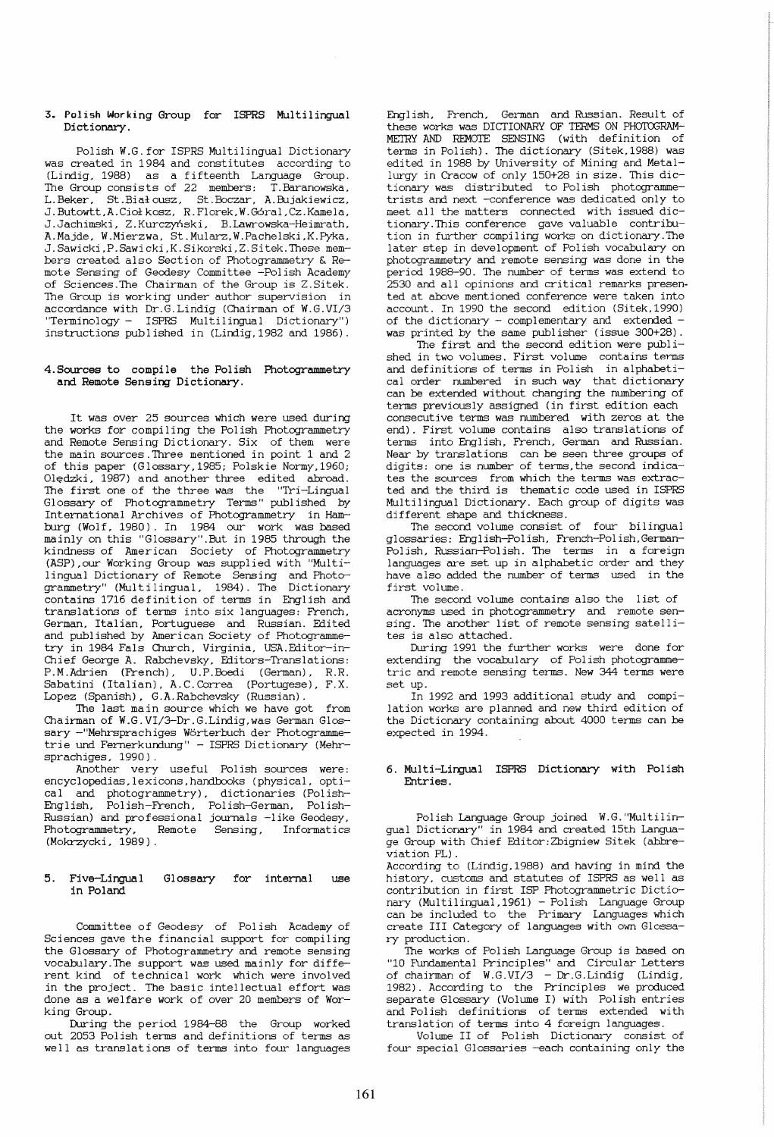### 3. Polish Working Group for ISPRS Multilingual Dictionary.

Polish W.G.for ISPRS Multilingual Dictionary was created in 1984 and constitutes according to (Lindig. 1988) as a fifteenth Language Group. The Group consists of 22 members: T.Baranowska, L.Beker, St.Bialousz, St.Boczar, A.Bujakiewicz, J . Butowtt,A.Cici kosz, R . Florek, W .GOral ,Cz.Kamela, J.Jachimski, Z.Kurczyński, B.Lawrowska-Heimrath, A.Majde, W.Mierzwa, St.Mularz,W.Pachelski,K.Pyka, J.Sawicki,P.Sawicki,K.Sikorski,Z.Sitek.These members created also Section of Photogrammetry & Remote Sensing of Geodesy Committee -Polish Academy of Sciences.The Chairman of the Group is Z.Sitek. The Group is working under author supervision in accordance with Dr.G.Lindig (Chairman of W.G.VI/3 "Terminology - ISPRS Multilingual Dictionary") instructions published in (Lindig, 1982 and 1986).

#### 4.Sources to compile the Polish Photogrammetry and Remote Sensing Dictionary.

It was over 25 sources which were used during the works for compiling the Polish Photogrammetry and Remote Sensing Dictionary. Six of them were the main sources.Three mentioned in point 1 and 2 of this paper (Glossary, 1985; Polskie NormY,1960; Oledzki, 1987) and another three edited abroad. The first one of the three was the "Tri-Lingua1 Glossary of Photogrammetry Terms" published by International Archives of Photogrammetry in Hamburg (Wolf, 1980). In 1984 our work was based mainly on this "Glossary" . But in 1985 through the kindness of American Society of Photogrammetry (ASP) ,our Working Group was supplied with "Multilingual Dictionary of Remote Sensing and Photogrammetry" (Multilingual, 1984). The Dictionary contains 1716 definition of terms in English and translations of terms into six languages: French, German, Italian, Portuguese and Russian. Edited and publ ished by Ameri can Society of Photogrammetry in 1984 Fals Church, Virginia, USA.Editor-in-Chief George A. Rabchevsky, Editors-Translations: P.M.Adrien (French), U.P.Boedi (German), R.R. Sabatini (Italian), A.C.Correa (Portugese), F.X. Lopez (Spanish), G.A.Rabchevsky (Russian).

The last main source which we have got from Chairman of W.G.VI/3-Dr.G.Lindig,was German Glossary -"Mehrsprachiges Worterbuch der Photogrammetrie und Fernerkundung" - ISPRS Dictionary (Mehr-

sprachiges, 1990).<br>Another very useful Polish sources were: encyclopedias,lexicons,handbooks (physical, optical and photogrammetry), dictionaries (Polish-English, Polish-French, Polish-German, Polish-Russian) and professional journals -like Geodesy, Remote Sensing, (Mokrzycki, 1989).

#### 5. Five-Lingual in Poland Glossary for internal use

Committee of Geodesy of Polish Academy of Sciences gave the financial support for compiling the Glossary of Photogrammetry and remote sensing vocabulary.The support was used mainly for different kind of technical work which were involved in the project. The basic intellectual effort was done as a welfare work of over 20 members of Working Group.

During the period 1984-88 the Group worked out 2053 Polish terms and definitions of terms as well as translations of terms into four languages

English, French, German and Russian. Result of these works was DICTIONARY OF TERMS ON PHOTOGRAM-METRY AND REMOTE SENSING (with definition of terms in Polish). The dictionary (Sitek, 1988) was edited in 1988 by University of Mining and Metallurgy in Cracow of only 150+28 in size. This dictionary was distributed to Polish photogrammetrists and next -conference was dedicated only to meet all the matters connected with issued dictionary.This conference gave valuable contribution in further compiling works on dictionary.The later step in development of Polish vocabulary on photogrammetry and remote sensing was done in the period 1988-90. The number of terms was extend to .<br>2530 and all opinions and critical remarks presented at above mentioned conference were taken into account. In 1990 the second edition (Sitek,1990) of the dictionary  $-$  complementary and extended  $$ was printed by the same publisher (issue 300+28).

The first and the second edition were published in two volumes. First volume contains terms and definitions of terms in Polish in alphabetical order numbered in such way that dictionary can be extended without changing the numbering of terms previously assigned (in first edition each consecutive terms was numbered with zeros at the end). First volume contains also trarslations of terms into English, French, German and Russian. Near by translations can be seen three groups of digits: one is number of terms,the second indicates the sources from which the terms was extracted and the third is thematic code used in ISPRS Multilingual Dictionary. Each group of digits was different shape and thickness.

The second volume consist of four bilingual glossaries: English-Polish, French-Polish,German-Polish, Russian-Polish. The terms in a foreign languages are set up in alphabetic order and they have also added the number of terms used in the first volume.

The second volume contains also the list of acronyms used in photogrammetry and remote senaing. The another list of remote sensing satellites is also attached.

During 1991 the further works were done for extending the vocabulary of Polish photogramme-<br>tric and remote sensing terms. New 344 terms were set up.

In 1992 and 1993 additional study and compilation works are planned and new third edition of the Dictionary containing about 4000 terms can be expected in 1994.

### 6. Multi-Lingual ISPRS Dictionary with Polish Entries.

Polish Language Group joined W.G. "Multilingual Dictionary" in 1984 and created 15th Language Group with Chief Editor:Zbigniew Sitek (abbre-

According to (Lindig, 1988) and having in mind the history, customs and statutes of ISPRS as well as contribution in first ISP Photogrammetric Dictionary (Multilingual,1961) - Polish Language Group can be included to the Primary Languages which create III Category of languages with own Glossary production.

The works of Pol ish Language Group is based on "10 Fundamental Principles" and Circular Letters of chairman of W.G.VI/3 - Dr.G.Lindig (Lindig, 1982). According to the Principles we produced separate Glossary (Volume I) with Polish entries and Polish definitions of terms extended with translation of terms into 4 foreign languages.

Volume II of Polish Dictionary consist of four special Glossaries -each containing only the